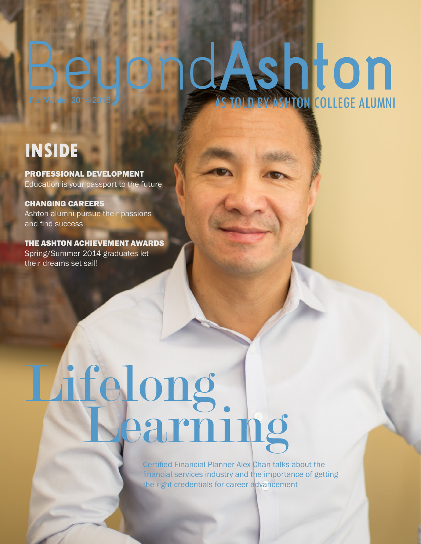## Beyond Ashton AS TOLD BY ASHTON COLLEGE ALUMNI

### **INSIDE**

PROFESSIONAL DEVELOPMENT Education is your passport to the future

CHANGING CAREERS Ashton alumni pursue their passions and find success

THE ASHTON ACHIEVEMENT AWARDS Spring/Summer 2014 graduates let their dreams set sail!

# Lifelong earnin

Certified Financial Planner Alex Chan talks about the financial services industry and the importance of getting the right credentials for career advancement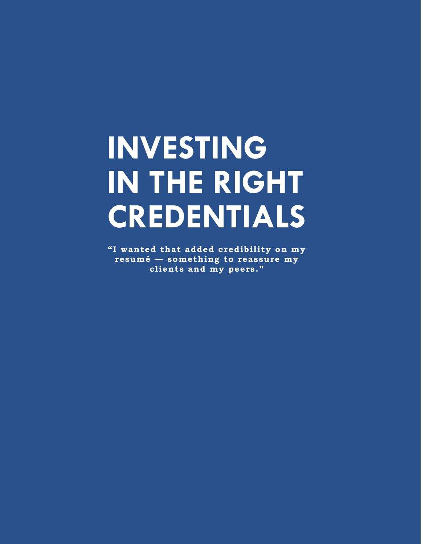## **INVESTING IN THE RIGHT CREDENTIALS**

"I wanted that added credibility on my resumé - something to reassure my clients and my peers."